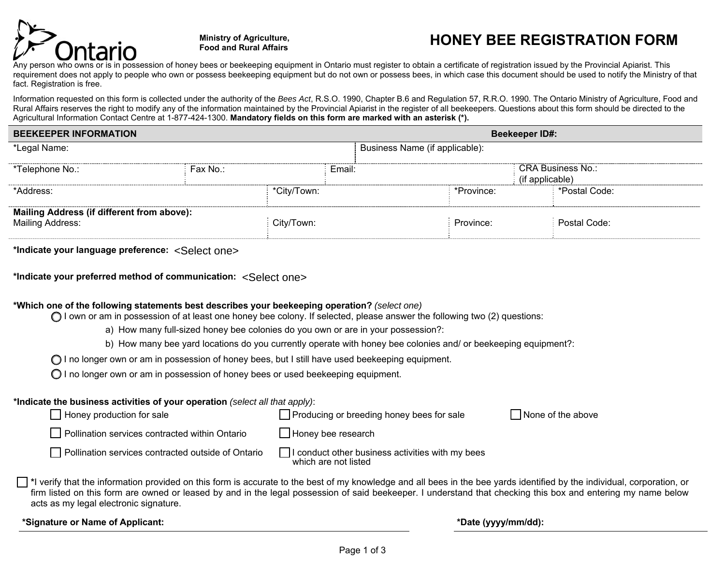

**Ministry of Agriculture,** 

# **Food and Rural Affairs HONEY BEE REGISTRATION FORM**

Any person who owns or is in possession of honey bees or beekeeping equipment in Ontario must register to obtain a certificate of registration issued by the Provincial Apiarist. This requirement does not apply to people who own or possess beekeeping equipment but do not own or possess bees, in which case this document should be used to notify the Ministry of that fact. Registration is free.

Information requested on this form is collected under the authority of the *Bees Act*, R.S.O. 1990, Chapter B.6 and Regulation 57, R.R.O. 1990. The Ontario Ministry of Agriculture, Food and Rural Affairs reserves the right to modify any of the information maintained by the Provincial Apiarist in the register of all beekeepers. Questions about this form should be directed to the Agricultural Information Contact Centre at 1-877-424-1300. Mandatory fields on this form are marked with an asterisk (\*).

| <b>BEEKEEPER INFORMATION</b>                                                 |  |              | <b>Beekeeper ID#:</b>                       |               |  |  |
|------------------------------------------------------------------------------|--|--------------|---------------------------------------------|---------------|--|--|
| *Legal Name:                                                                 |  |              | Business Name (if applicable):              |               |  |  |
| *Telephone No.:<br>Fax No.∶                                                  |  | Email:       | <b>CRA Business No.:</b><br>(if applicable) |               |  |  |
| *Address:                                                                    |  | *City/Town:  | *Province:                                  | *Postal Code: |  |  |
| <b>Mailing Address (if different from above):</b><br><b>Mailing Address:</b> |  | : City/Town: | Province:                                   | Postal Code:  |  |  |

**\*Indicate your language preference:** <Select one>

**\*Indicate your preferred method of communication:** <Select one>

## **\*Which one of the following statements best describes your beekeeping operation?** *(select one)*

 $\bigcirc$  I own or am in possession of at least one honey bee colony. If selected, please answer the following two (2) questions:

a) How many full-sized honey bee colonies do you own or are in your possession?:

b) How many bee yard locations do you currently operate with honey bee colonies and/ or beekeeping equipment?:

◯ I no longer own or am in possession of honey bees, but I still have used beekeeping equipment.

 $\bigcirc$  I no longer own or am in possession of honey bees or used beekeeping equipment.

## **\*Indicate the business activities of your operation** *(select all that apply)*:

| Honey production for sale                          | Producing or breeding honey bees for sale                                | None of the above |
|----------------------------------------------------|--------------------------------------------------------------------------|-------------------|
| Pollination services contracted within Ontario     | $\Box$ Honey bee research                                                |                   |
| Pollination services contracted outside of Ontario | I conduct other business activities with my bees<br>which are not listed |                   |

**T** \*I verify that the information provided on this form is accurate to the best of my knowledge and all bees in the bee yards identified by the individual, corporation, or firm listed on this form are owned or leased by and in the legal possession of said beekeeper. I understand that checking this box and entering my name below acts as my legal electronic signature.

| *Signature or Name of Applicant: |  |  |  |  |  |
|----------------------------------|--|--|--|--|--|
|----------------------------------|--|--|--|--|--|

**\*Date (yyyy/mm/dd):**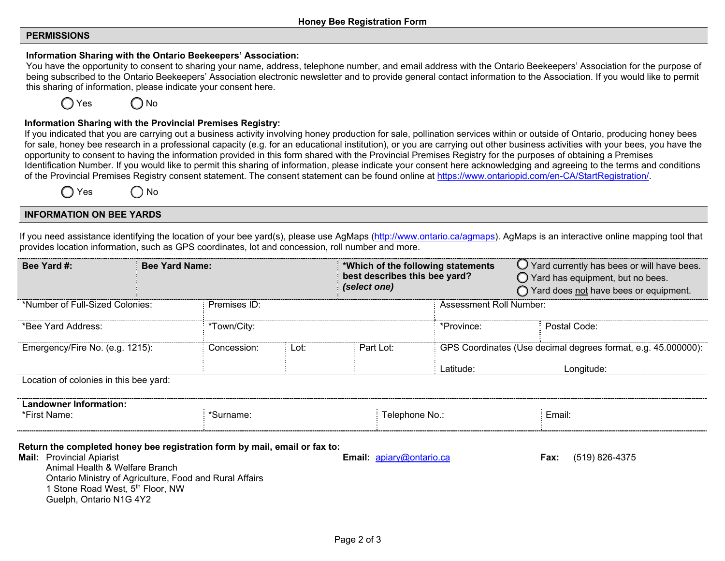## **PERMISSIONS**

#### **Information Sharing with the Ontario Beekeepers' Association:**

You have the opportunity to consent to sharing your name, address, telephone number, and email address with the Ontario Beekeepers' Association for the purpose of being subscribed to the Ontario Beekeepers' Association electronic newsletter and to provide general contact information to the Association. If you would like to permit this sharing of information, please indicate your consent here.



#### **Information Sharing with the Provincial Premises Registry:**

If you indicated that you are carrying out a business activity involving honey production for sale, pollination services within or outside of Ontario, producing honey bees for sale, honey bee research in a professional capacity (e.g. for an educational institution), or you are carrying out other business activities with your bees, you have the opportunity to consent to having the information provided in this form shared with the Provincial Premises Registry for the purposes of obtaining a Premises Identification Number. If you would like to permit this sharing of information, please indicate your consent here acknowledging and agreeing to the terms and conditions of the Provincial Premises Registry consent statement. The consent statement can be found online at https://www.ontariopid.com/en-CA/StartRegistration/.

Yes ( ) No

#### **INFORMATION ON BEE YARDS**

If you need assistance identifying the location of your bee yard(s), please use AgMaps (http://www.ontario.ca/agmaps). AgMaps is an interactive online mapping tool that provides location information, such as GPS coordinates, lot and concession, roll number and more.

| Bee Yard #:                                                                                                                                                                                                     |                                                 | <b>Bee Yard Name:</b>                                   |      | *Which of the following statements<br>best describes this bee yard?<br>(select one) |           | $\bigcirc$ Yard currently has bees or will have bees.<br>$\bigcirc$ Yard has equipment, but no bees.<br>◯ Yard does not have bees or equipment. |  |  |
|-----------------------------------------------------------------------------------------------------------------------------------------------------------------------------------------------------------------|-------------------------------------------------|---------------------------------------------------------|------|-------------------------------------------------------------------------------------|-----------|-------------------------------------------------------------------------------------------------------------------------------------------------|--|--|
|                                                                                                                                                                                                                 | *Number of Full-Sized Colonies:<br>Premises ID: |                                                         |      | Assessment Roll Number:                                                             |           |                                                                                                                                                 |  |  |
| *Bee Yard Address:                                                                                                                                                                                              |                                                 | *Town/City:                                             |      | Postal Code:<br>*Province:                                                          |           |                                                                                                                                                 |  |  |
| Emergency/Fire No. (e.g. 1215):                                                                                                                                                                                 |                                                 | Concession:                                             | Lot: | Part Lot:                                                                           |           | GPS Coordinates (Use decimal degrees format, e.g. 45.000000):                                                                                   |  |  |
|                                                                                                                                                                                                                 |                                                 |                                                         |      |                                                                                     | Latitude: | Longitude:                                                                                                                                      |  |  |
| Location of colonies in this bee yard:                                                                                                                                                                          |                                                 |                                                         |      |                                                                                     |           |                                                                                                                                                 |  |  |
| <b>Landowner Information:</b><br>*First Name:                                                                                                                                                                   |                                                 | *Surname:                                               |      | Telephone No.:                                                                      |           | Email:                                                                                                                                          |  |  |
| Return the completed honey bee registration form by mail, email or fax to:<br><b>Mail:</b> Provincial Apiarist<br>Animal Health & Welfare Branch<br>1 Stone Road West, 5th Floor, NW<br>Guelph, Ontario N1G 4Y2 |                                                 | Ontario Ministry of Agriculture, Food and Rural Affairs |      | <b>Email:</b> $a$ <i>piary@ontario.ca</i>                                           |           | (519) 826-4375<br>Fax:                                                                                                                          |  |  |